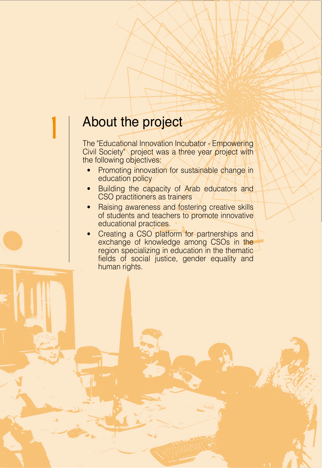## About the project

The "Educational Innovation Incubator - Empowering Civil Society" project was a three year project with the following objectives:

- Promoting innovation for sustainable change in education policy
- Building the capacity of Arab educators and CSO practitioners as trainers
- Raising awareness and fostering creative skills of students and teachers to promote innovative educational practices.
- Creating a CSO platform for partnerships and exchange of knowledge among CSOs in the region specializing in education in the thematicfields of social justice, gender equality and human rights.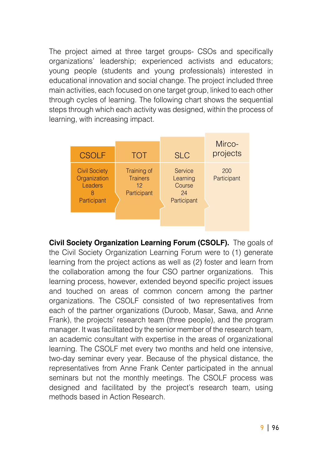The project aimed at three target groups - CSOs and specifically organizations' leadership; experienced activists and educators; young people (students and young professionals) interested in educational innovation and social change. The project included three main activities, each focused on one target group, linked to each other through cycles of learning. The following chart shows the sequential steps through which each activity was designed, within the process of learning, with increasing impact.

| <b>CSOLF</b>                                                        | <b>TOT</b>                                                       | <b>SLC</b>                                         | Mirco-<br>projects |
|---------------------------------------------------------------------|------------------------------------------------------------------|----------------------------------------------------|--------------------|
| <b>Civil Society</b><br>Organization<br>Leaders<br>8<br>Participant | Training of<br><b>Trainers</b><br>12 <sup>°</sup><br>Participant | Service<br>Learning<br>Course<br>24<br>Participant | 200<br>Participant |

**Civil Society Organization Learning Forum (CSOLF).** The goals of the Civil Society Organization Learning Forum were to (1) generate learning from the project actions as well as (2) foster and learn from the collaboration among the four CSO partner organizations. This learning process, however, extended beyond specific project issues and touched on areas of common concern among the partner organizations. The CSOLF consisted of two representatives from each of the partner organizations (Duroob, Masar, Sawa, and Anne Frank), the projects' research team (three people), and the program manager. It was facilitated by the senior member of the research team, an academic consultant with expertise in the areas of organizational learning. The CSOLF met every two months and held one intensive, two-day seminar every year. Because of the physical distance, the representatives from Anne Frank Center participated in the annual seminars but not the monthly meetings. The CSOLF process was desianed and facilitated by the project's research team, using methods based in Action Research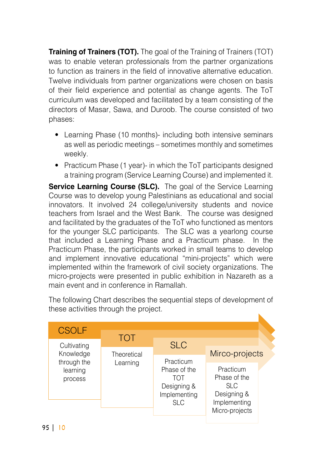**Training of Trainers (TOT).** The goal of the Training of Trainers (TOT) was to enable veteran professionals from the partner organizations to function as trainers in the field of innovative alternative education. Twelve individuals from partner organizations were chosen on basis of their field experience and potential as change agents. The ToT curriculum was developed and facilitated by a team consisting of the directors of Masar, Sawa, and Duroob. The course consisted of two :phases

- Learning Phase (10 months)- including both intensive seminars as well as periodic meetings – sometimes monthly and sometimes weekly.
- Practicum Phase (1 year)- in which the ToT participants designed a training program (Service Learning Course) and implemented it.

**Service Learning Course (SLC).** The goal of the Service Learning Course was to develop young Palestinians as educational and social innovators. It involved 24 college/university students and novice teachers from Israel and the West Bank. The course was designed and facilitated by the graduates of the ToT who functioned as mentors for the younger SLC participants. The SLC was a yearlong course that included a Learning Phase and a Practicum phase. In the Practicum Phase, the participants worked in small teams to develop and implement innovative educational "mini-projects" which were implemented within the framework of civil society organizations. The micro-projects were presented in public exhibition in Nazareth as a main event and in conference in Ramallah

The following Chart describes the sequential steps of development of these activities through the project.